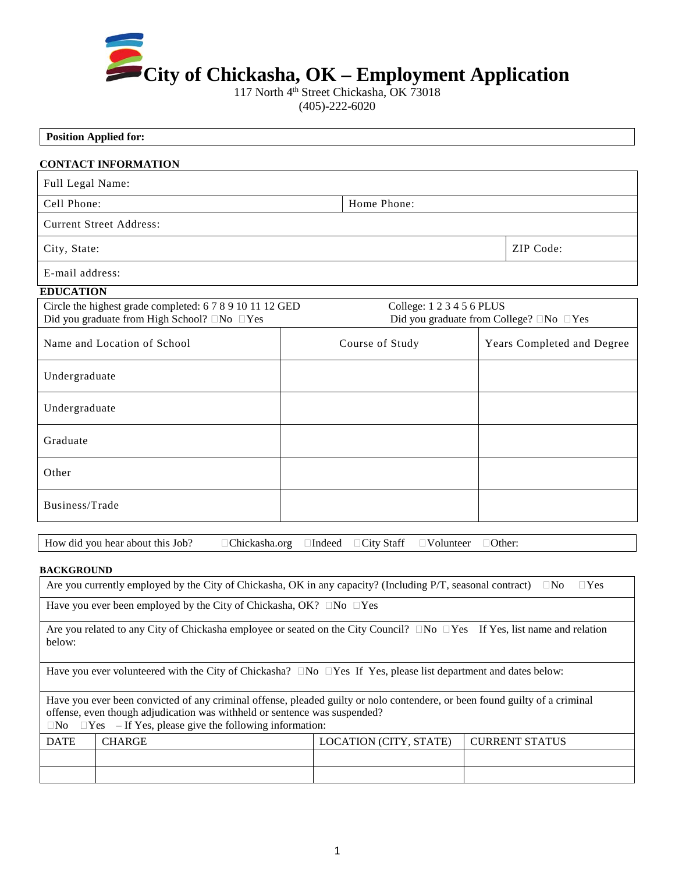

117 North 4<sup>th</sup> Street Chickasha, OK 73018 (405)-222-6020

# **Position Applied for: CONTACT INFORMATION** Full Legal Name: Cell Phone:  $\blacksquare$  Home Phone: Current Street Address: City, State: ZIP Code: ZIP Code: E-mail address: **EDUCATION** Circle the highest grade completed: 6 7 8 9 10 11 12 GED College: 1 2 3 4 5 6 PLUS Did you graduate from High School?  $\Box$  No  $\Box$  Yes Did you graduate from College?  $\Box$  No  $\Box$  Yes Name and Location of School Course of Study Years Completed and Degree Undergraduate Undergraduate Graduate Other Business/Trade How did you hear about this Job?  $\Box$  Chickasha.org  $\Box$  Indeed  $\Box$  City Staff  $\Box$  Volunteer  $\Box$  Other:

#### **BACKGROUND**

| Are you currently employed by the City of Chickasha, OK in any capacity? (Including P/T, seasonal contract) $\square$ No $\square$ Yes |  |  |
|----------------------------------------------------------------------------------------------------------------------------------------|--|--|
| Have you ever been employed by the City of Chickasha, OK? $\Box$ No $\Box$ Yes                                                         |  |  |

Are you related to any City of Chickasha employee or seated on the City Council?  $\Box$  No  $\Box$  Yes If Yes, list name and relation below:

Have you ever volunteered with the City of Chickasha?  $\Box$  No  $\Box$  Yes If Yes, please list department and dates below:

Have you ever been convicted of any criminal offense, pleaded guilty or nolo contendere, or been found guilty of a criminal offense, even though adjudication was withheld or sentence was suspended?  $\Box$ No  $\Box$ Yes – If Yes, please give the following information:

DATE CHARGE CHARGE LOCATION (CITY, STATE) CURRENT STATUS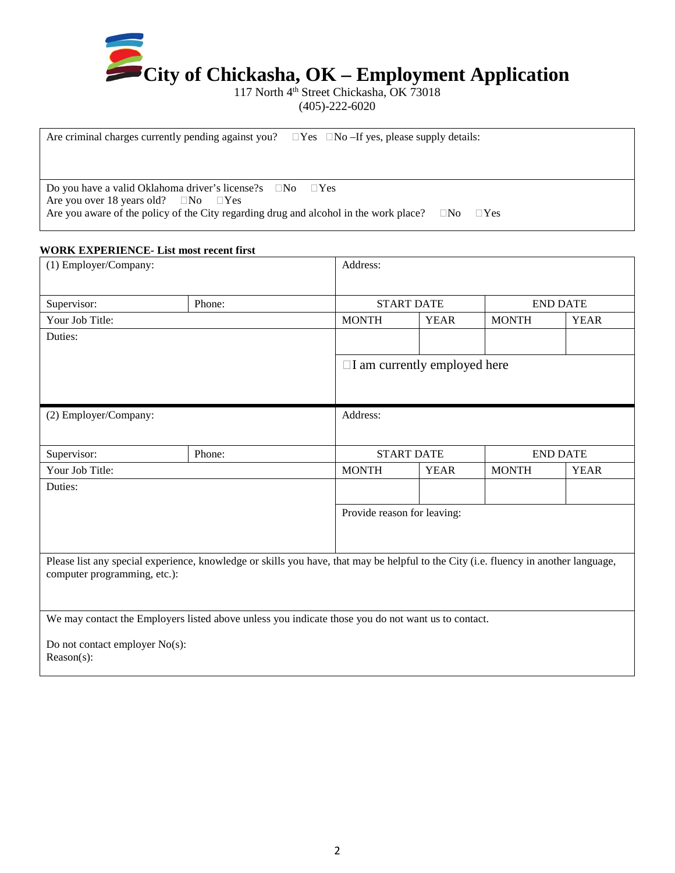

117 North 4<sup>th</sup> Street Chickasha, OK 73018

(405)-222-6020

Are criminal charges currently pending against you?  $\Box$  Yes  $\Box$  No –If yes, please supply details: Do you have a valid Oklahoma driver's license?s  $\Box$ No  $\Box$ Yes Are you over 18 years old?  $\Box$  No  $\Box$  Yes Are you aware of the policy of the City regarding drug and alcohol in the work place?  $\Box$ No  $\Box$ Yes

#### **WORK EXPERIENCE- List most recent first**

| (1) Employer/Company:                           |                                                                                                                                      | Address:     |                                     |              |                 |  |
|-------------------------------------------------|--------------------------------------------------------------------------------------------------------------------------------------|--------------|-------------------------------------|--------------|-----------------|--|
| Supervisor:                                     | Phone:                                                                                                                               |              | <b>START DATE</b>                   |              | <b>END DATE</b> |  |
| Your Job Title:                                 |                                                                                                                                      | <b>MONTH</b> | <b>YEAR</b>                         | <b>MONTH</b> | <b>YEAR</b>     |  |
| Duties:                                         |                                                                                                                                      |              |                                     |              |                 |  |
|                                                 |                                                                                                                                      |              | $\Box$ I am currently employed here |              |                 |  |
| (2) Employer/Company:                           |                                                                                                                                      | Address:     |                                     |              |                 |  |
| Supervisor:                                     | Phone:                                                                                                                               |              | <b>START DATE</b>                   |              | <b>END DATE</b> |  |
| Your Job Title:                                 |                                                                                                                                      | <b>MONTH</b> | <b>YEAR</b>                         | <b>MONTH</b> | <b>YEAR</b>     |  |
| Duties:                                         |                                                                                                                                      |              |                                     |              |                 |  |
|                                                 |                                                                                                                                      |              | Provide reason for leaving:         |              |                 |  |
| computer programming, etc.):                    | Please list any special experience, knowledge or skills you have, that may be helpful to the City (i.e. fluency in another language, |              |                                     |              |                 |  |
| Do not contact employer No(s):<br>$Reason(s)$ : | We may contact the Employers listed above unless you indicate those you do not want us to contact.                                   |              |                                     |              |                 |  |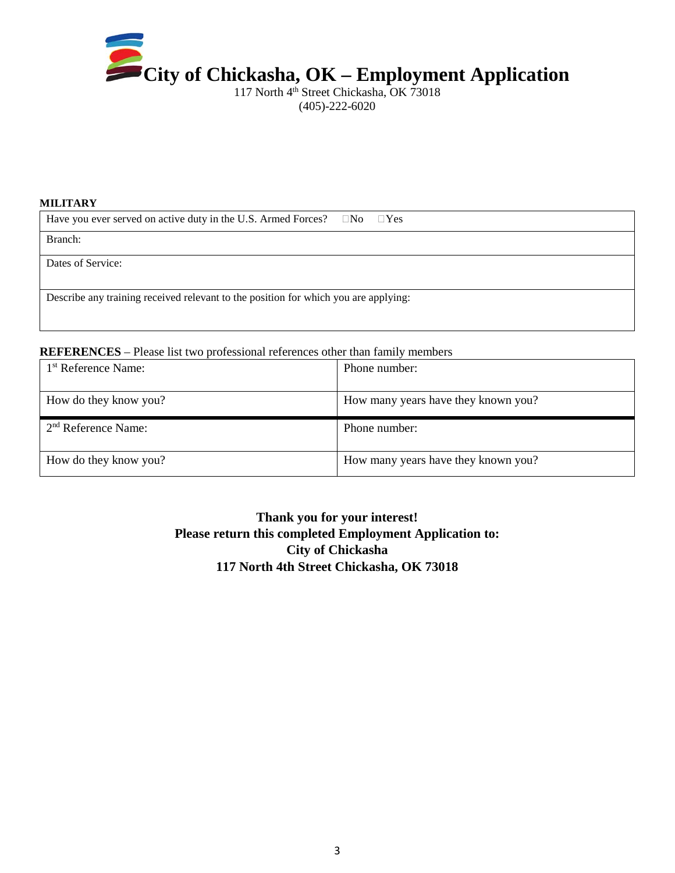

117 North 4<sup>th</sup> Street Chickasha, OK 73018 (405)-222-6020

#### **MILITARY**

| Have you ever served on active duty in the U.S. Armed Forces? $\Box$ No $\Box$ Yes  |  |  |  |
|-------------------------------------------------------------------------------------|--|--|--|
| Branch:                                                                             |  |  |  |
| Dates of Service:                                                                   |  |  |  |
| Describe any training received relevant to the position for which you are applying: |  |  |  |

#### **REFERENCES** – Please list two professional references other than family members

| 1 <sup>st</sup> Reference Name: | Phone number: |                                     |
|---------------------------------|---------------|-------------------------------------|
| How do they know you?           |               | How many years have they known you? |
| 2 <sup>nd</sup> Reference Name: | Phone number: |                                     |
| How do they know you?           |               | How many years have they known you? |

## **Thank you for your interest! Please return this completed Employment Application to: City of Chickasha 117 North 4th Street Chickasha, OK 73018**